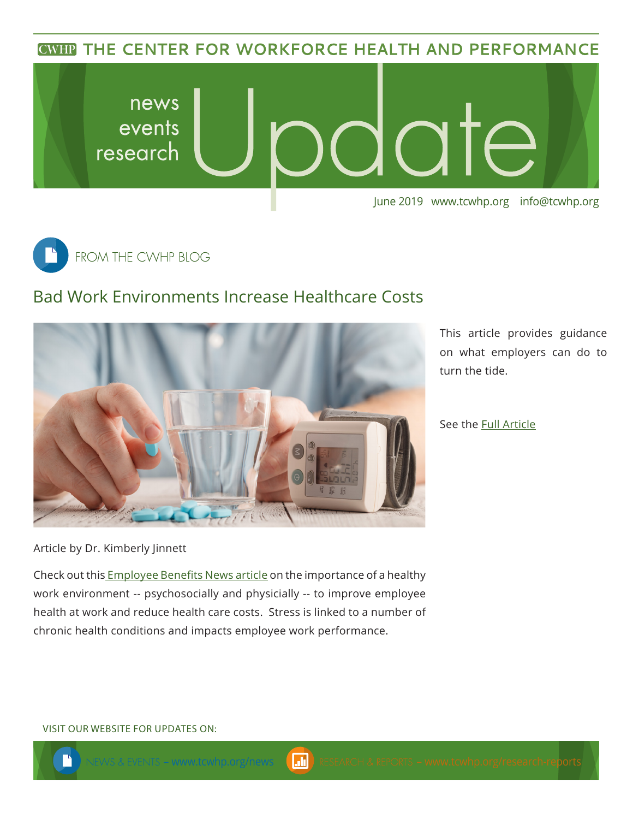**CWHP THE CENTER FOR WORKFORCE HEALTH AND PERFORMANCE** 





## Bad Work Environments Increase Healthcare Costs



This article provides guidance on what employers can do to turn the tide.

See the [Full A](https://www.benefitnews.com/opinion/workplace-stress-increasing-healthcare-costs)rticle

Article by Dr. Kimberly Jinnett

Check out this **Employee Benefits News article on the importance of a healthy** work environment -- psychosocially and physicially -- to improve employee health at work and reduce health care costs. Stress is linked to a number of chronic health conditions and impacts employee work performance.

VISIT OUR WEBSITE FOR UPDATES ON: